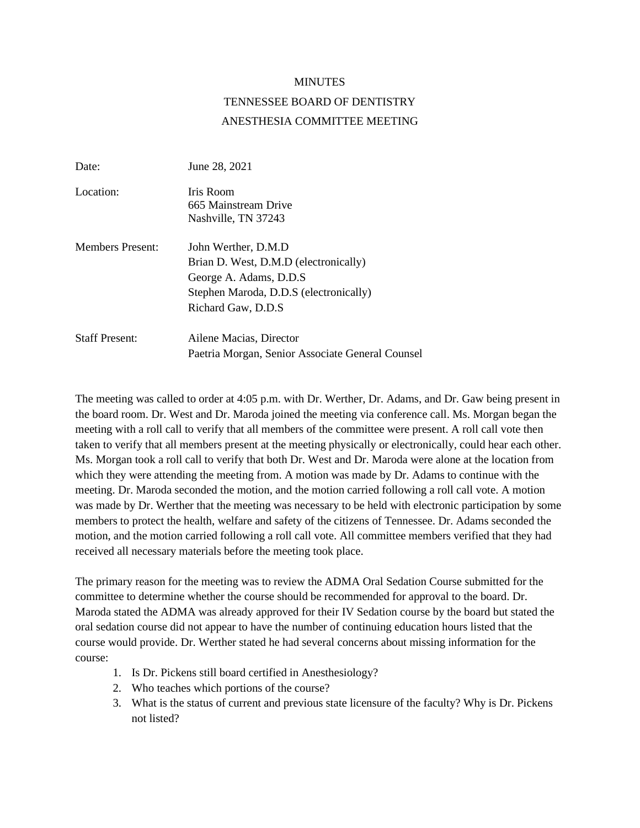## MINUTES

## TENNESSEE BOARD OF DENTISTRY ANESTHESIA COMMITTEE MEETING

| Date:                   | June 28, 2021                                                                                                                                             |
|-------------------------|-----------------------------------------------------------------------------------------------------------------------------------------------------------|
| Location:               | Iris Room<br>665 Mainstream Drive<br>Nashville, TN 37243                                                                                                  |
| <b>Members Present:</b> | John Werther, D.M.D.<br>Brian D. West, D.M.D (electronically)<br>George A. Adams, D.D.S.<br>Stephen Maroda, D.D.S (electronically)<br>Richard Gaw, D.D.S. |
| <b>Staff Present:</b>   | Ailene Macias, Director<br>Paetria Morgan, Senior Associate General Counsel                                                                               |

The meeting was called to order at 4:05 p.m. with Dr. Werther, Dr. Adams, and Dr. Gaw being present in the board room. Dr. West and Dr. Maroda joined the meeting via conference call. Ms. Morgan began the meeting with a roll call to verify that all members of the committee were present. A roll call vote then taken to verify that all members present at the meeting physically or electronically, could hear each other. Ms. Morgan took a roll call to verify that both Dr. West and Dr. Maroda were alone at the location from which they were attending the meeting from. A motion was made by Dr. Adams to continue with the meeting. Dr. Maroda seconded the motion, and the motion carried following a roll call vote. A motion was made by Dr. Werther that the meeting was necessary to be held with electronic participation by some members to protect the health, welfare and safety of the citizens of Tennessee. Dr. Adams seconded the motion, and the motion carried following a roll call vote. All committee members verified that they had received all necessary materials before the meeting took place.

The primary reason for the meeting was to review the ADMA Oral Sedation Course submitted for the committee to determine whether the course should be recommended for approval to the board. Dr. Maroda stated the ADMA was already approved for their IV Sedation course by the board but stated the oral sedation course did not appear to have the number of continuing education hours listed that the course would provide. Dr. Werther stated he had several concerns about missing information for the course:

- 1. Is Dr. Pickens still board certified in Anesthesiology?
- 2. Who teaches which portions of the course?
- 3. What is the status of current and previous state licensure of the faculty? Why is Dr. Pickens not listed?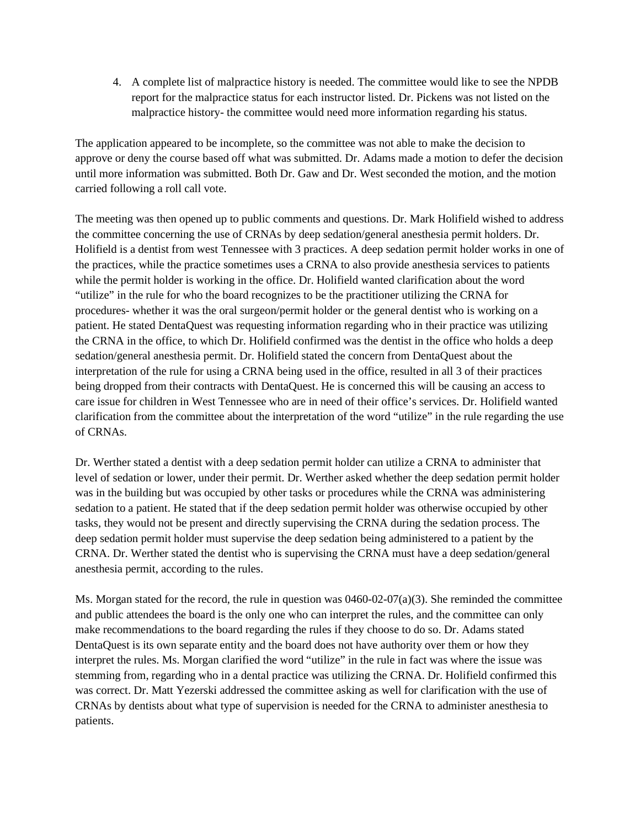4. A complete list of malpractice history is needed. The committee would like to see the NPDB report for the malpractice status for each instructor listed. Dr. Pickens was not listed on the malpractice history- the committee would need more information regarding his status.

The application appeared to be incomplete, so the committee was not able to make the decision to approve or deny the course based off what was submitted. Dr. Adams made a motion to defer the decision until more information was submitted. Both Dr. Gaw and Dr. West seconded the motion, and the motion carried following a roll call vote.

The meeting was then opened up to public comments and questions. Dr. Mark Holifield wished to address the committee concerning the use of CRNAs by deep sedation/general anesthesia permit holders. Dr. Holifield is a dentist from west Tennessee with 3 practices. A deep sedation permit holder works in one of the practices, while the practice sometimes uses a CRNA to also provide anesthesia services to patients while the permit holder is working in the office. Dr. Holifield wanted clarification about the word "utilize" in the rule for who the board recognizes to be the practitioner utilizing the CRNA for procedures- whether it was the oral surgeon/permit holder or the general dentist who is working on a patient. He stated DentaQuest was requesting information regarding who in their practice was utilizing the CRNA in the office, to which Dr. Holifield confirmed was the dentist in the office who holds a deep sedation/general anesthesia permit. Dr. Holifield stated the concern from DentaQuest about the interpretation of the rule for using a CRNA being used in the office, resulted in all 3 of their practices being dropped from their contracts with DentaQuest. He is concerned this will be causing an access to care issue for children in West Tennessee who are in need of their office's services. Dr. Holifield wanted clarification from the committee about the interpretation of the word "utilize" in the rule regarding the use of CRNAs.

Dr. Werther stated a dentist with a deep sedation permit holder can utilize a CRNA to administer that level of sedation or lower, under their permit. Dr. Werther asked whether the deep sedation permit holder was in the building but was occupied by other tasks or procedures while the CRNA was administering sedation to a patient. He stated that if the deep sedation permit holder was otherwise occupied by other tasks, they would not be present and directly supervising the CRNA during the sedation process. The deep sedation permit holder must supervise the deep sedation being administered to a patient by the CRNA. Dr. Werther stated the dentist who is supervising the CRNA must have a deep sedation/general anesthesia permit, according to the rules.

Ms. Morgan stated for the record, the rule in question was  $0460-02-07(a)(3)$ . She reminded the committee and public attendees the board is the only one who can interpret the rules, and the committee can only make recommendations to the board regarding the rules if they choose to do so. Dr. Adams stated DentaQuest is its own separate entity and the board does not have authority over them or how they interpret the rules. Ms. Morgan clarified the word "utilize" in the rule in fact was where the issue was stemming from, regarding who in a dental practice was utilizing the CRNA. Dr. Holifield confirmed this was correct. Dr. Matt Yezerski addressed the committee asking as well for clarification with the use of CRNAs by dentists about what type of supervision is needed for the CRNA to administer anesthesia to patients.